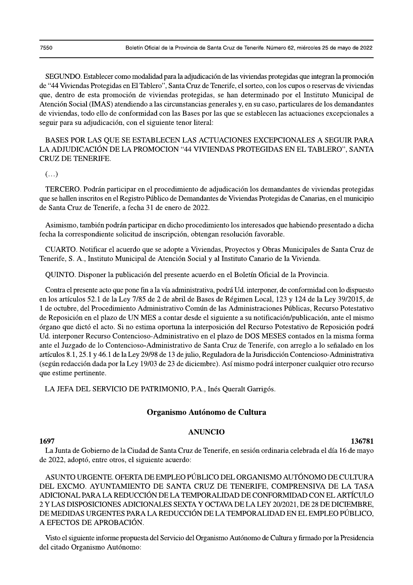SEGUNDO. Establecer como modalidad para la adjudicación de las viviendas protegidas que integran la promoción de "44 Viviendas Protegidas en El Tablero", Santa Cruz de Tenerife, el sorteo, con los cupos o reservas de viviendas que, dentro de esta promoción de viviendas protegidas, se han determinado por el Instituto Municipal de Atención Social (IMAS) atendiendo a las circunstancias generales y, en su caso, particulares de los demandantes de viviendas, todo ello de conformidad con las Bases por las que se establecen las actuaciones excepcionales a seguir para su adjudicación, con el siguiente tenor literal:

BASES POR LAS QUE SE ESTABLECEN LAS ACTUACIONES EXCEPCIONALES A SEGUIR PARA LA ADJUDICACIÓN DE LA PROMOCION "44 VIVIENDAS PROTEGIDAS EN EL TABLERO", SANTA **CRUZ DE TENERIFE.** 

 $\left(\ldots\right)$ 

TERCERO. Podrán participar en el procedimiento de adjudicación los demandantes de viviendas protegidas que se hallen inscritos en el Registro Público de Demandantes de Viviendas Protegidas de Canarias, en el municipio de Santa Cruz de Tenerife, a fecha 31 de enero de 2022.

Asimismo, también podrán participar en dicho procedimiento los interesados que habiendo presentado a dicha fecha la correspondiente solicitud de inscripción, obtengan resolución favorable.

CUARTO. Notificar el acuerdo que se adopte a Viviendas, Proyectos y Obras Municipales de Santa Cruz de Tenerife, S. A., Instituto Municipal de Atención Social y al Instituto Canario de la Vivienda.

QUINTO. Disponer la publicación del presente acuerdo en el Boletín Oficial de la Provincia.

Contra el presente acto que pone fin a la vía administrativa, podrá Ud. interponer, de conformidad con lo dispuesto en los artículos 52.1 de la Ley 7/85 de 2 de abril de Bases de Régimen Local, 123 y 124 de la Ley 39/2015, de 1 de octubre, del Procedimiento Administrativo Común de las Administraciones Públicas, Recurso Potestativo de Reposición en el plazo de UN MES a contar desde el siguiente a su notificación/publicación, ante el mismo órgano que dictó el acto. Si no estima oportuna la interposición del Recurso Potestativo de Reposición podrá Ud. interponer Recurso Contencioso-Administrativo en el plazo de DOS MESES contados en la misma forma ante el Juzgado de lo Contencioso-Administrativo de Santa Cruz de Tenerife, con arreglo a lo señalado en los artículos 8.1, 25.1 y 46.1 de la Ley 29/98 de 13 de julio, Reguladora de la Jurisdicción Contencioso-Administrativa (según redacción dada por la Ley 19/03 de 23 de diciembre). Así mismo podrá interponer cualquier otro recurso que estime pertinente.

LA JEFA DEL SERVICIO DE PATRIMONIO, P.A., Inés Queralt Garrigós.

# Organismo Autónomo de Cultura

### **ANUNCIO**

### 1697

136781 La Junta de Gobierno de la Ciudad de Santa Cruz de Tenerife, en sesión ordinaria celebrada el día 16 de mayo

de 2022, adoptó, entre otros, el siguiente acuerdo:

ASUNTO URGENTE. OFERTA DE EMPLEO PÚBLICO DEL ORGANISMO AUTÓNOMO DE CULTURA DEL EXCMO. AYUNTAMIENTO DE SANTA CRUZ DE TENERIFE, COMPRENSIVA DE LA TASA ADICIONAL PARA LA REDUCCIÓN DE LA TEMPORALIDAD DE CONFORMIDAD CON EL ARTÍCULO 2 Y LAS DISPOSICIONES ADICIONALES SEXTA Y OCTAVA DE LA LEY 20/2021, DE 28 DE DICIEMBRE, DE MEDIDAS URGENTES PARA LA REDUCCIÓN DE LA TEMPORALIDAD EN EL EMPLEO PÚBLICO. A EFECTOS DE APROBACIÓN.

Visto el siguiente informe propuesta del Servicio del Organismo Autónomo de Cultura y firmado por la Presidencia del citado Organismo Autónomo: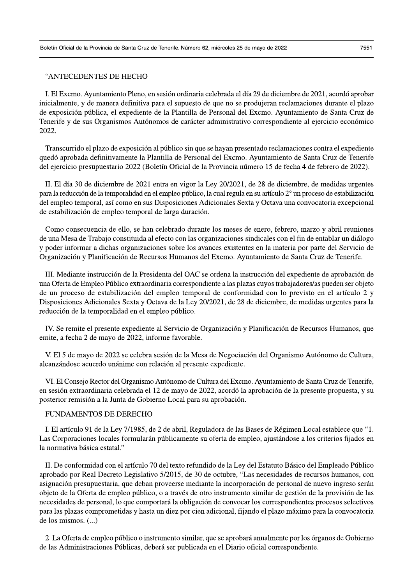## "ANTECEDENTES DE HECHO

I. El Excmo. Ayuntamiento Pleno, en sesión ordinaria celebrada el día 29 de diciembre de 2021, acordó aprobar inicialmente, y de manera definitiva para el supuesto de que no se produjeran reclamaciones durante el plazo de exposición pública, el expediente de la Plantilla de Personal del Excmo. Ayuntamiento de Santa Cruz de Tenerife y de sus Organismos Autónomos de carácter administrativo correspondiente al ejercicio económico 2022.

Transcurrido el plazo de exposición al público sin que se hayan presentado reclamaciones contra el expediente quedó aprobada definitivamente la Plantilla de Personal del Excmo. Ayuntamiento de Santa Cruz de Tenerife del ejercicio presupuestario 2022 (Boletín Oficial de la Provincia número 15 de fecha 4 de febrero de 2022).

II. El día 30 de diciembre de 2021 entra en vigor la Ley 20/2021, de 28 de diciembre, de medidas urgentes para la reducción de la temporalidad en el empleo público, la cual regula en su artículo 2° un proceso de estabilización del empleo temporal, así como en sus Disposiciones Adicionales Sexta y Octava una convocatoria excepcional de estabilización de empleo temporal de larga duración.

Como consecuencia de ello, se han celebrado durante los meses de enero, febrero, marzo y abril reuniones de una Mesa de Trabajo constituida al efecto con las organizaciones sindicales con el fin de entablar un diálogo y poder informar a dichas organizaciones sobre los avances existentes en la materia por parte del Servicio de Organización y Planificación de Recursos Humanos del Excmo. Ayuntamiento de Santa Cruz de Tenerife.

III. Mediante instrucción de la Presidenta del OAC se ordena la instrucción del expediente de aprobación de una Oferta de Empleo Público extraordinaria correspondiente a las plazas cuyos trabajadores/as pueden ser objeto de un proceso de estabilización del empleo temporal de conformidad con lo previsto en el artículo 2 y Disposiciones Adicionales Sexta y Octava de la Ley 20/2021, de 28 de diciembre, de medidas urgentes para la reducción de la temporalidad en el empleo público.

IV. Se remite el presente expediente al Servicio de Organización y Planificación de Recursos Humanos, que emite, a fecha 2 de mayo de 2022, informe favorable.

V. El 5 de mayo de 2022 se celebra sesión de la Mesa de Negociación del Organismo Autónomo de Cultura, alcanzándose acuerdo unánime con relación al presente expediente.

VI. El Consejo Rector del Organismo Autónomo de Cultura del Excmo. Ayuntamiento de Santa Cruz de Tenerife, en sesión extraordinaria celebrada el 12 de mayo de 2022, acordó la aprobación de la presente propuesta, y su posterior remisión a la Junta de Gobierno Local para su aprobación.

## FUNDAMENTOS DE DERECHO

I. El artículo 91 de la Ley 7/1985, de 2 de abril, Reguladora de las Bases de Régimen Local establece que "1. Las Corporaciones locales formularán públicamente su oferta de empleo, ajustándose a los criterios fijados en la normativa básica estatal."

II. De conformidad con el artículo 70 del texto refundido de la Ley del Estatuto Básico del Empleado Público aprobado por Real Decreto Legislativo 5/2015, de 30 de octubre, "Las necesidades de recursos humanos, con asignación presupuestaria, que deban proveerse mediante la incorporación de personal de nuevo ingreso serán objeto de la Oferta de empleo público, o a través de otro instrumento similar de gestión de la provisión de las necesidades de personal, lo que comportará la obligación de convocar los correspondientes procesos selectivos para las plazas comprometidas y hasta un diez por cien adicional, fijando el plazo máximo para la convocatoria de los mismos. (...)

2. La Oferta de empleo público o instrumento similar, que se aprobará anualmente por los órganos de Gobierno de las Administraciones Públicas, deberá ser publicada en el Diario oficial correspondiente.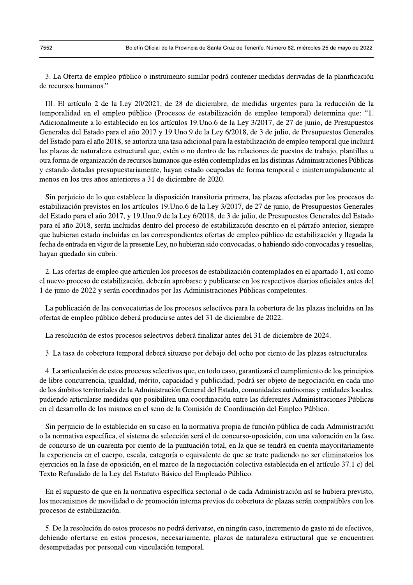3. La Oferta de empleo público o instrumento similar podrá contener medidas derivadas de la planificación de recursos humanos."

III. El artículo 2 de la Ley 20/2021, de 28 de diciembre, de medidas urgentes para la reducción de la temporalidad en el empleo público (Procesos de estabilización de empleo temporal) determina que: "1. Adicionalmente a lo establecido en los artículos 19. Uno. 6 de la Ley 3/2017, de 27 de junio, de Presupuestos Generales del Estado para el año 2017 y 19. Uno. 9 de la Ley 6/2018, de 3 de julio, de Presupuestos Generales del Estado para el año 2018, se autoriza una tasa adicional para la estabilización de empleo temporal que incluirá las plazas de naturaleza estructural que, estén o no dentro de las relaciones de puestos de trabajo, plantillas u otra forma de organización de recursos humanos que estén contempladas en las distintas Administraciones Públicas y estando dotadas presupuestariamente, hayan estado ocupadas de forma temporal e ininterrumpidamente al menos en los tres años anteriores a 31 de diciembre de 2020.

Sin perjuicio de lo que establece la disposición transitoria primera, las plazas afectadas por los procesos de estabilización previstos en los artículos 19. Uno. 6 de la Ley 3/2017, de 27 de junio, de Presupuestos Generales del Estado para el año 2017, y 19. Uno 9 de la Ley 6/2018, de 3 de julio, de Presupuestos Generales del Estado para el año 2018, serán incluidas dentro del proceso de estabilización descrito en el párrafo anterior, siempre que hubieran estado incluidas en las correspondientes ofertas de empleo público de estabilización y llegada la fecha de entrada en vigor de la presente Ley, no hubieran sido convocadas, o habiendo sido convocadas y resueltas, hayan quedado sin cubrir.

2. Las ofertas de empleo que articulen los procesos de estabilización contemplados en el apartado 1, así como el nuevo proceso de estabilización, deberán aprobarse y publicarse en los respectivos diarios oficiales antes del 1 de junio de 2022 y serán coordinados por las Administraciones Públicas competentes.

La publicación de las convocatorias de los procesos selectivos para la cobertura de las plazas incluidas en las ofertas de empleo público deberá producirse antes del 31 de diciembre de 2022.

La resolución de estos procesos selectivos deberá finalizar antes del 31 de diciembre de 2024.

3. La tasa de cobertura temporal deberá situarse por debajo del ocho por ciento de las plazas estructurales.

4. La articulación de estos procesos selectivos que, en todo caso, garantizará el cumplimiento de los principios de libre concurrencia, igualdad, mérito, capacidad y publicidad, podrá ser objeto de negociación en cada uno de los ámbitos territoriales de la Administración General del Estado, comunidades autónomas y entidades locales, pudiendo articularse medidas que posibiliten una coordinación entre las diferentes Administraciones Públicas en el desarrollo de los mismos en el seno de la Comisión de Coordinación del Empleo Público.

Sin perjuicio de lo establecido en su caso en la normativa propia de función pública de cada Administración o la normativa específica, el sistema de selección será el de concurso-oposición, con una valoración en la fase de concurso de un cuarenta por ciento de la puntuación total, en la que se tendrá en cuenta mayoritariamente la experiencia en el cuerpo, escala, categoría o equivalente de que se trate pudiendo no ser eliminatorios los ejercicios en la fase de oposición, en el marco de la negociación colectiva establecida en el artículo 37.1 c) del Texto Refundido de la Ley del Estatuto Básico del Empleado Público.

En el supuesto de que en la normativa específica sectorial o de cada Administración así se hubiera previsto, los mecanismos de movilidad o de promoción interna previos de cobertura de plazas serán compatibles con los procesos de estabilización.

5. De la resolución de estos procesos no podrá derivarse, en ningún caso, incremento de gasto ni de efectivos, debiendo ofertarse en estos procesos, necesariamente, plazas de naturaleza estructural que se encuentren desempeñadas por personal con vinculación temporal.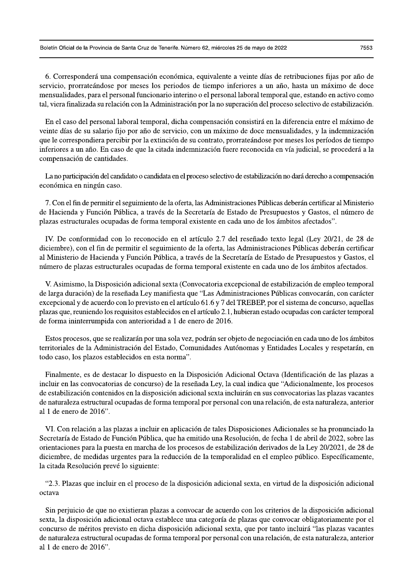6. Corresponderá una compensación económica, equivalente a veinte días de retribuciones fijas por año de servicio, prorrateándose por meses los periodos de tiempo inferiores a un año, hasta un máximo de doce mensualidades, para el personal funcionario interino o el personal laboral temporal que, estando en activo como tal, viera finalizada su relación con la Administración por la no superación del proceso selectivo de estabilización.

En el caso del personal laboral temporal, dicha compensación consistirá en la diferencia entre el máximo de veinte días de su salario fijo por año de servicio, con un máximo de doce mensualidades, y la indemnización que le correspondiera percibir por la extinción de su contrato, prorrateándose por meses los períodos de tiempo inferiores a un año. En caso de que la citada indemnización fuere reconocida en vía judicial, se procederá a la compensación de cantidades.

La no participación del candidato o candidata en el proceso selectivo de estabilización no dará derecho a compensación económica en ningún caso.

7. Con el fin de permitir el seguimiento de la oferta, las Administraciones Públicas deberán certificar al Ministerio de Hacienda y Función Pública, a través de la Secretaría de Estado de Presupuestos y Gastos, el número de plazas estructurales ocupadas de forma temporal existente en cada uno de los ámbitos afectados".

IV. De conformidad con lo reconocido en el artículo 2.7 del reseñado texto legal (Ley 20/21, de 28 de diciembre), con el fin de permitir el seguimiento de la oferta, las Administraciones Públicas deberán certificar al Ministerio de Hacienda y Función Pública, a través de la Secretaría de Estado de Presupuestos y Gastos, el número de plazas estructurales ocupadas de forma temporal existente en cada uno de los ámbitos afectados.

V. Asimismo, la Disposición adicional sexta (Convocatoria excepcional de estabilización de empleo temporal de larga duración) de la reseñada Ley manifiesta que "Las Administraciones Públicas convocarán, con carácter excepcional y de acuerdo con lo previsto en el artículo 61.6 y 7 del TREBEP, por el sistema de concurso, aquellas plazas que, reuniendo los requisitos establecidos en el artículo 2.1, hubieran estado ocupadas con carácter temporal de forma ininterrumpida con anterioridad a 1 de enero de 2016.

Estos procesos, que se realizarán por una sola vez, podrán ser objeto de negociación en cada uno de los ámbitos territoriales de la Administración del Estado, Comunidades Autónomas y Entidades Locales y respetarán, en todo caso, los plazos establecidos en esta norma".

Finalmente, es de destacar lo dispuesto en la Disposición Adicional Octava (Identificación de las plazas a incluir en las convocatorias de concurso) de la reseñada Ley, la cual indica que "Adicionalmente, los procesos de estabilización contenidos en la disposición adicional sexta incluirán en sus convocatorias las plazas vacantes de naturaleza estructural ocupadas de forma temporal por personal con una relación, de esta naturaleza, anterior al 1 de enero de 2016".

VI. Con relación a las plazas a incluir en aplicación de tales Disposiciones Adicionales se ha pronunciado la Secretaría de Estado de Función Pública, que ha emitido una Resolución, de fecha 1 de abril de 2022, sobre las orientaciones para la puesta en marcha de los procesos de estabilización derivados de la Ley 20/2021, de 28 de diciembre, de medidas urgentes para la reducción de la temporalidad en el empleo público. Específicamente, la citada Resolución prevé lo siguiente:

"2.3. Plazas que incluir en el proceso de la disposición adicional sexta, en virtud de la disposición adicional octava

Sin perjuicio de que no existieran plazas a convocar de acuerdo con los criterios de la disposición adicional sexta, la disposición adicional octava establece una categoría de plazas que convocar obligatoriamente por el concurso de méritos previsto en dicha disposición adicional sexta, que por tanto incluirá "las plazas vacantes de naturaleza estructural ocupadas de forma temporal por personal con una relación, de esta naturaleza, anterior al 1 de enero de 2016".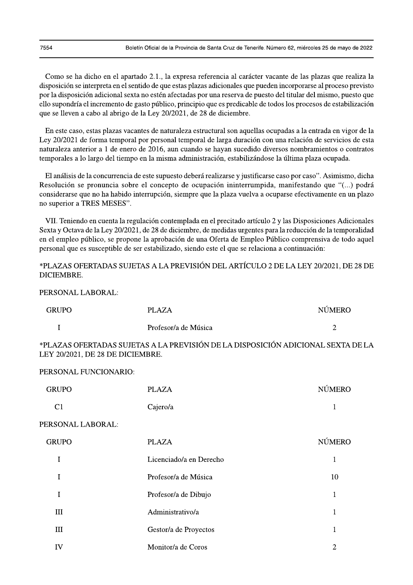Como se ha dicho en el apartado 2.1., la expresa referencia al carácter vacante de las plazas que realiza la disposición se interpreta en el sentido de que estas plazas adicionales que pueden incorporarse al proceso previsto por la disposición adicional sexta no estén afectadas por una reserva de puesto del titular del mismo, puesto que ello supondría el incremento de gasto público, principio que es predicable de todos los procesos de estabilización que se lleven a cabo al abrigo de la Ley 20/2021, de 28 de diciembre.

En este caso, estas plazas vacantes de naturaleza estructural son aquellas ocupadas a la entrada en vigor de la Ley 20/2021 de forma temporal por personal temporal de larga duración con una relación de servicios de esta naturaleza anterior a 1 de enero de 2016, aun cuando se hayan sucedido diversos nombramientos o contratos temporales a lo largo del tiempo en la misma administración, estabilizándose la última plaza ocupada.

El análisis de la concurrencia de este supuesto deberá realizarse y justificarse caso por caso". Asimismo, dicha Resolución se pronuncia sobre el concepto de ocupación ininterrumpida, manifestando que "(...) podrá considerarse que no ha habido interrupción, siempre que la plaza vuelva a ocuparse efectivamente en un plazo no superior a TRES MESES".

VII. Teniendo en cuenta la regulación contemplada en el precitado artículo 2 y las Disposiciones Adicionales Sexta y Octava de la Ley 20/2021, de 28 de diciembre, de medidas urgentes para la reducción de la temporalidad en el empleo público, se propone la aprobación de una Oferta de Empleo Público comprensiva de todo aquel personal que es susceptible de ser estabilizado, siendo este el que se relaciona a continuación:

\*PLAZAS OFERTADAS SUJETAS A LA PREVISIÓN DEL ARTÍCULO 2 DE LA LEY 20/2021, DE 28 DE DICIEMBRE.

PERSONAL LABORAL:

| <b>GRUPO</b> | <b>PLAZA</b>         | <b>NUMERO</b> |
|--------------|----------------------|---------------|
|              | Profesor/a de Música | ∽             |

\*PLAZAS OFERTADAS SUJETAS A LA PREVISIÓN DE LA DISPOSICIÓN ADICIONAL SEXTA DE LA LEY 20/2021, DE 28 DE DICIEMBRE.

## PERSONAL FUNCIONARIO:

| <b>GRUPO</b>   | <b>PLAZA</b> | <b>NÚMERO</b> |
|----------------|--------------|---------------|
| C <sub>1</sub> | Cajero/a     |               |

#### PERSONAL LABORAL:

| <b>GRUPO</b> | <b>PLAZA</b>            | <b>NÚMERO</b> |
|--------------|-------------------------|---------------|
|              | Licenciado/a en Derecho |               |
|              | Profesor/a de Música    | 10            |
|              | Profesor/a de Dibujo    |               |
| Ш            | Administrativo/a        |               |
| Ш            | Gestor/a de Proyectos   |               |
| IV           | Monitor/a de Coros      | 2             |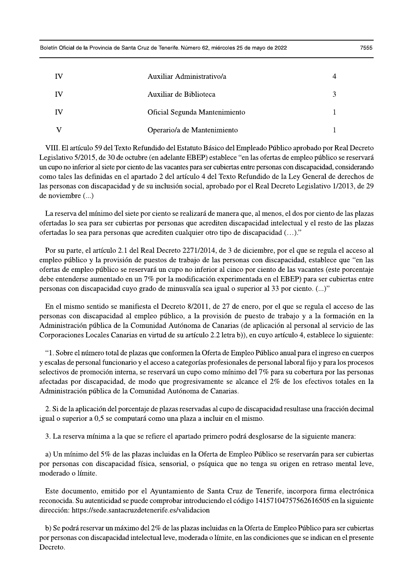| IV | Auxiliar Administrativo/a     |  |
|----|-------------------------------|--|
| IV | Auxiliar de Biblioteca        |  |
| IV | Oficial Segunda Mantenimiento |  |
|    | Operario/a de Mantenimiento   |  |

VIII. El artículo 59 del Texto Refundido del Estatuto Básico del Empleado Público aprobado por Real Decreto Legislativo 5/2015, de 30 de octubre (en adelante EBEP) establece "en las ofertas de empleo público se reservará un cupo no inferior al siete por ciento de las vacantes para ser cubiertas entre personas con discapacidad, considerando como tales las definidas en el apartado 2 del artículo 4 del Texto Refundido de la Ley General de derechos de las personas con discapacidad y de su inclusión social, aprobado por el Real Decreto Legislativo 1/2013, de 29 de noviembre (...)

La reserva del mínimo del siete por ciento se realizará de manera que, al menos, el dos por ciento de las plazas ofertadas lo sea para ser cubiertas por personas que acrediten discapacidad intelectual y el resto de las plazas ofertadas lo sea para personas que acrediten cualquier otro tipo de discapacidad (...)."

Por su parte, el artículo 2.1 del Real Decreto 2271/2014, de 3 de diciembre, por el que se regula el acceso al empleo público y la provisión de puestos de trabajo de las personas con discapacidad, establece que "en las ofertas de empleo público se reservará un cupo no inferior al cinco por ciento de las vacantes (este porcentaje debe entenderse aumentado en un 7% por la modificación experimentada en el EBEP) para ser cubiertas entre personas con discapacidad cuyo grado de minusvalía sea igual o superior al 33 por ciento. (...)"

En el mismo sentido se manifiesta el Decreto 8/2011, de 27 de enero, por el que se regula el acceso de las personas con discapacidad al empleo público, a la provisión de puesto de trabajo y a la formación en la Administración pública de la Comunidad Autónoma de Canarias (de aplicación al personal al servicio de las Corporaciones Locales Canarias en virtud de su artículo 2.2 letra b)), en cuyo artículo 4, establece lo siguiente:

"1. Sobre el número total de plazas que conformen la Oferta de Empleo Público anual para el ingreso en cuerpos y escalas de personal funcionario y el acceso a categorías profesionales de personal laboral fijo y para los procesos selectivos de promoción interna, se reservará un cupo como mínimo del 7% para su cobertura por las personas afectadas por discapacidad, de modo que progresivamente se alcance el 2% de los efectivos totales en la Administración pública de la Comunidad Autónoma de Canarias.

2. Si de la aplicación del porcentaje de plazas reservadas al cupo de discapacidad resultase una fracción decimal igual o superior a 0,5 se computará como una plaza a incluir en el mismo.

3. La reserva mínima a la que se refiere el apartado primero podrá desglosarse de la siguiente manera:

a) Un mínimo del 5% de las plazas incluidas en la Oferta de Empleo Público se reservarán para ser cubiertas por personas con discapacidad física, sensorial, o psíquica que no tenga su origen en retraso mental leve, moderado o límite.

Este documento, emitido por el Ayuntamiento de Santa Cruz de Tenerife, incorpora firma electrónica reconocida. Su autenticidad se puede comprobar introduciendo el código 14157104757562616505 en la siguiente dirección: https://sede.santacruzdetenerife.es/validacion

b) Se podrá reservar un máximo del 2% de las plazas incluidas en la Oferta de Empleo Público para ser cubiertas por personas con discapacidad intelectual leve, moderada o límite, en las condiciones que se indican en el presente Decreto.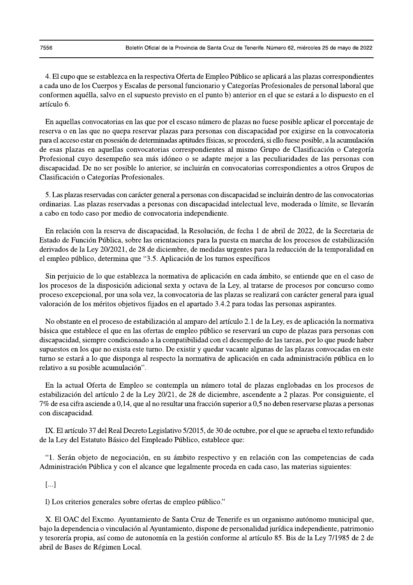4. El cupo que se establezca en la respectiva Oferta de Empleo Público se aplicará a las plazas correspondientes a cada uno de los Cuerpos y Escalas de personal funcionario y Categorías Profesionales de personal laboral que conformen aquélla, salvo en el supuesto previsto en el punto b) anterior en el que se estará a lo dispuesto en el artículo 6.

En aquellas convocatorias en las que por el escaso número de plazas no fuese posible aplicar el porcentaje de reserva o en las que no quepa reservar plazas para personas con discapacidad por exigirse en la convocatoria para el acceso estar en posesión de determinadas aptitudes físicas, se procederá, si ello fuese posible, a la acumulación de esas plazas en aquellas convocatorias correspondientes al mismo Grupo de Clasificación o Categoría Profesional cuyo desempeño sea más idóneo o se adapte mejor a las peculiaridades de las personas con discapacidad. De no ser posible lo anterior, se incluirán en convocatorias correspondientes a otros Grupos de Clasificación o Categorías Profesionales.

5. Las plazas reservadas con carácter general a personas con discapacidad se incluirán dentro de las convocatorias ordinarias. Las plazas reservadas a personas con discapacidad intelectual leve, moderada o límite, se llevarán a cabo en todo caso por medio de convocatoria independiente.

En relación con la reserva de discapacidad, la Resolución, de fecha 1 de abril de 2022, de la Secretaria de Estado de Función Pública, sobre las orientaciones para la puesta en marcha de los procesos de estabilización derivados de la Ley 20/2021, de 28 de diciembre, de medidas urgentes para la reducción de la temporalidad en el empleo público, determina que "3.5. Aplicación de los turnos específicos

Sin perjuicio de lo que establezca la normativa de aplicación en cada ámbito, se entiende que en el caso de los procesos de la disposición adicional sexta y octava de la Ley, al tratarse de procesos por concurso como proceso excepcional, por una sola vez, la convocatoria de las plazas se realizará con carácter general para igual valoración de los méritos objetivos fijados en el apartado 3.4.2 para todas las personas aspirantes.

No obstante en el proceso de estabilización al amparo del artículo 2.1 de la Ley, es de aplicación la normativa básica que establece el que en las ofertas de empleo público se reservará un cupo de plazas para personas con discapacidad, siempre condicionado a la compatibilidad con el desempeño de las tareas, por lo que puede haber supuestos en los que no exista este turno. De existir y quedar vacante algunas de las plazas convocadas en este turno se estará a lo que disponga al respecto la normativa de aplicación en cada administración pública en lo relativo a su posible acumulación".

En la actual Oferta de Empleo se contempla un número total de plazas englobadas en los procesos de estabilización del artículo 2 de la Ley 20/21, de 28 de diciembre, ascendente a 2 plazas. Por consiguiente, el 7% de esa cifra asciende a 0,14, que al no resultar una fracción superior a 0,5 no deben reservarse plazas a personas con discapacidad.

IX. El artículo 37 del Real Decreto Legislativo 5/2015, de 30 de octubre, por el que se aprueba el texto refundido de la Ley del Estatuto Básico del Empleado Público, establece que:

"1. Serán objeto de negociación, en su ámbito respectivo y en relación con las competencias de cada Administración Pública y con el alcance que legalmente proceda en cada caso, las materias siguientes:

 $\left[\ldots\right]$ 

l) Los criterios generales sobre ofertas de empleo público."

X. El OAC del Excmo. Ayuntamiento de Santa Cruz de Tenerife es un organismo autónomo municipal que, bajo la dependencia o vinculación al Ayuntamiento, dispone de personalidad jurídica independiente, patrimonio y tesorería propia, así como de autonomía en la gestión conforme al artículo 85. Bis de la Ley 7/1985 de 2 de abril de Bases de Régimen Local.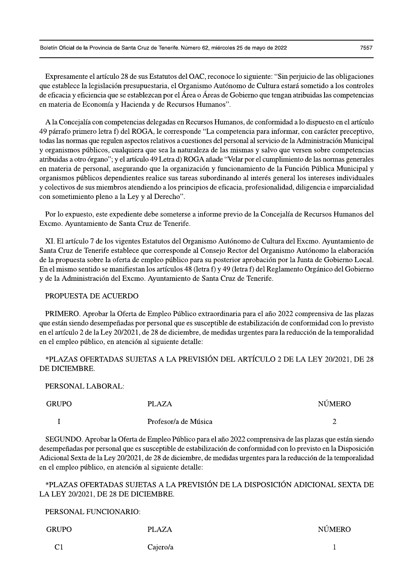Boletín Oficial de la Provincia de Santa Cruz de Tenerife. Número 62, miércoles 25 de mayo de 2022

Expresamente el artículo 28 de sus Estatutos del OAC, reconoce lo siguiente: "Sin perjuicio de las obligaciones que establece la legislación presupuestaria, el Organismo Autónomo de Cultura estará sometido a los controles de eficacia y eficiencia que se establezcan por el Área o Áreas de Gobierno que tengan atribuidas las competencias en materia de Economía y Hacienda y de Recursos Humanos".

A la Concejalía con competencias delegadas en Recursos Humanos, de conformidad a lo dispuesto en el artículo 49 párrafo primero letra f) del ROGA, le corresponde "La competencia para informar, con carácter preceptivo, todas las normas que regulen aspectos relativos a cuestiones del personal al servicio de la Administración Municipal y organismos públicos, cualquiera que sea la naturaleza de las mismas y salvo que versen sobre competencias atribuidas a otro órgano"; y el artículo 49 Letra d) ROGA añade "Velar por el cumplimiento de las normas generales en materia de personal, asegurando que la organización y funcionamiento de la Función Pública Municipal y organismos públicos dependientes realice sus tareas subordinando al interés general los intereses individuales y colectivos de sus miembros atendiendo a los principios de eficacia, profesionalidad, diligencia e imparcialidad con sometimiento pleno a la Ley y al Derecho".

Por lo expuesto, este expediente debe someterse a informe previo de la Concejalía de Recursos Humanos del Excmo. Ayuntamiento de Santa Cruz de Tenerife.

XI. El artículo 7 de los vigentes Estatutos del Organismo Autónomo de Cultura del Excmo. Ayuntamiento de Santa Cruz de Tenerife establece que corresponde al Consejo Rector del Organismo Autónomo la elaboración de la propuesta sobre la oferta de empleo público para su posterior aprobación por la Junta de Gobierno Local. En el mismo sentido se manifiestan los artículos 48 (letra f) y 49 (letra f) del Reglamento Orgánico del Gobierno y de la Administración del Excmo. Ayuntamiento de Santa Cruz de Tenerife.

# PROPUESTA DE ACUERDO

PRIMERO. Aprobar la Oferta de Empleo Público extraordinaria para el año 2022 comprensiva de las plazas que están siendo desempeñadas por personal que es susceptible de estabilización de conformidad con lo previsto en el artículo 2 de la Ley 20/2021, de 28 de diciembre, de medidas urgentes para la reducción de la temporalidad en el empleo público, en atención al siguiente detalle:

\*PLAZAS OFERTADAS SUJETAS A LA PREVISIÓN DEL ARTÍCULO 2 DE LA LEY 20/2021, DE 28 DE DICIEMBRE.

PERSONAL LABORAL:

| <b>GRUPO</b> | PLAZA                | <b>NUMERO</b> |
|--------------|----------------------|---------------|
|              | Profesor/a de Música | -             |

SEGUNDO. Aprobar la Oferta de Empleo Público para el año 2022 comprensiva de las plazas que están siendo desempeñadas por personal que es susceptible de estabilización de conformidad con lo previsto en la Disposición Adicional Sexta de la Ley 20/2021, de 28 de diciembre, de medidas urgentes para la reducción de la temporalidad en el empleo público, en atención al siguiente detalle:

\*PLAZAS OFERTADAS SUJETAS A LA PREVISIÓN DE LA DISPOSICIÓN ADICIONAL SEXTA DE LA LEY 20/2021, DE 28 DE DICIEMBRE.

PERSONAL FUNCIONARIO:

| <b>GRUPO</b>   | <b>PLAZA</b> | <b>NÚMERO</b> |
|----------------|--------------|---------------|
| C <sub>1</sub> | Cajero/a     |               |